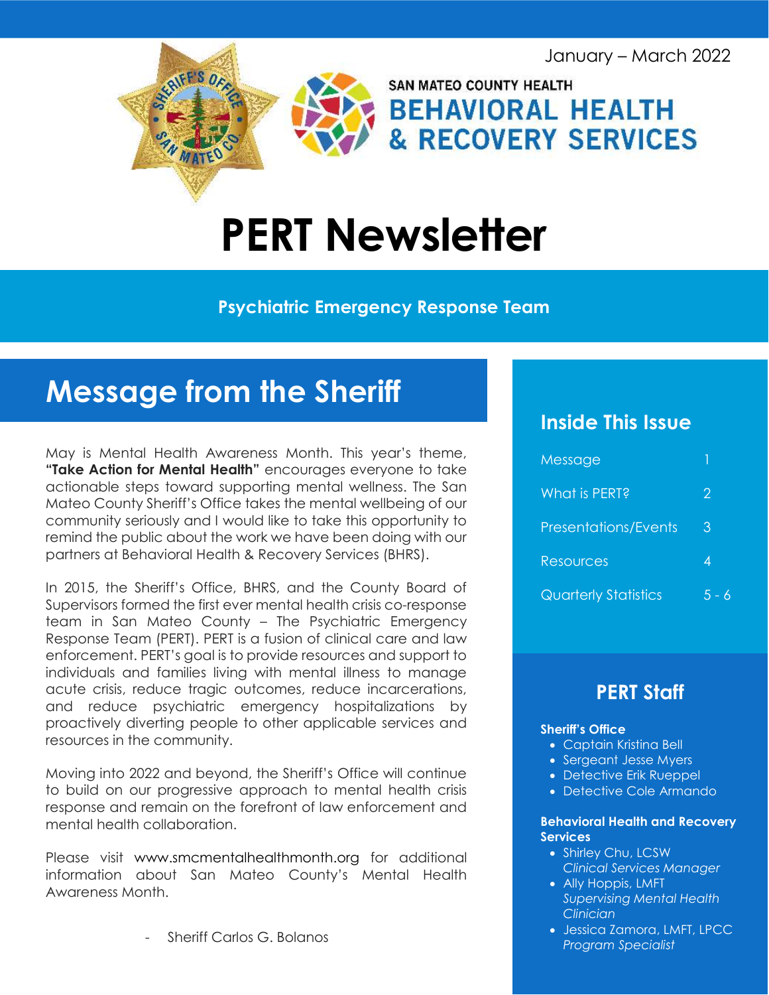January – March 2022



# PERT Newsletter

#### Psychiatric Emergency Response Team

## Message from the Sheriff

May is Mental Health Awareness Month. This year's theme, "Take Action for Mental Health" encourages everyone to take actionable steps toward supporting mental wellness. The San Mateo County Sheriff's Office takes the mental wellbeing of our community seriously and I would like to take this opportunity to remind the public about the work we have been doing with our partners at Behavioral Health & Recovery Services (BHRS).

In 2015, the Sheriff's Office, BHRS, and the County Board of Supervisors formed the first ever mental health crisis co-response team in San Mateo County – The Psychiatric Emergency Response Team (PERT). PERT is a fusion of clinical care and law enforcement. PERT's goal is to provide resources and support to individuals and families living with mental illness to manage acute crisis, reduce tragic outcomes, reduce incarcerations, and reduce psychiatric emergency hospitalizations by proactively diverting people to other applicable services and resources in the community.

Moving into 2022 and beyond, the Sheriff's Office will continue to build on our progressive approach to mental health crisis response and remain on the forefront of law enforcement and mental health collaboration.

Please visit www.smcmentalhealthmonth.org for additional information about San Mateo County's Mental Health Awareness Month.

- Sheriff Carlos G. Bolanos

#### Inside This Issue

| Message                     |       |
|-----------------------------|-------|
| What is PERT?               | 2     |
| <b>Presentations/Events</b> | 3     |
| Resources                   | 4     |
| <b>Quarterly Statistics</b> | 5 - 6 |

### PERT Staff

#### Sheriff's Office

- Captain Kristina Bell
- Sergeant Jesse Myers
- Detective Erik Rueppel
- Detective Cole Armando

#### Behavioral Health and Recovery Services

- Shirley Chu, LCSW Clinical Services Manager
- Ally Hoppis, LMFT Supervising Mental Health Clinician
- Jessica Zamora, LMFT, LPCC Program Specialist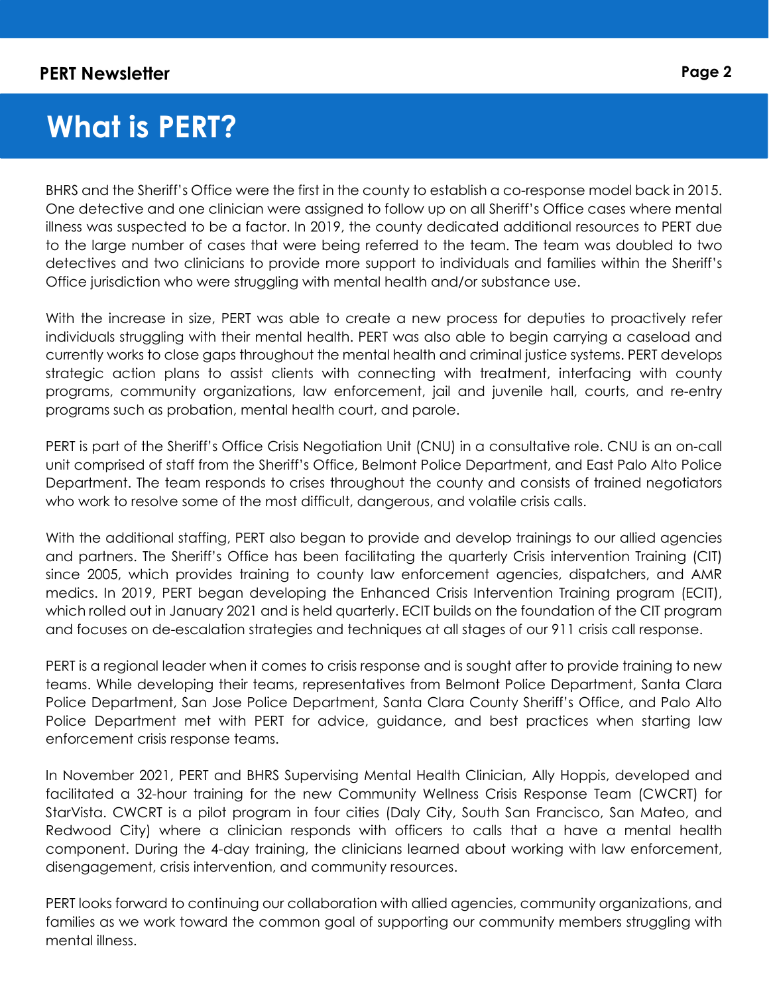I

## What is PERT?

BHRS and the Sheriff's Office were the first in the county to establish a co-response model back in 2015. One detective and one clinician were assigned to follow up on all Sheriff's Office cases where mental illness was suspected to be a factor. In 2019, the county dedicated additional resources to PERT due to the large number of cases that were being referred to the team. The team was doubled to two detectives and two clinicians to provide more support to individuals and families within the Sheriff's Office jurisdiction who were struggling with mental health and/or substance use.

With the increase in size, PERT was able to create a new process for deputies to proactively refer individuals struggling with their mental health. PERT was also able to begin carrying a caseload and currently works to close gaps throughout the mental health and criminal justice systems. PERT develops strategic action plans to assist clients with connecting with treatment, interfacing with county programs, community organizations, law enforcement, jail and juvenile hall, courts, and re-entry programs such as probation, mental health court, and parole.

PERT is part of the Sheriff's Office Crisis Negotiation Unit (CNU) in a consultative role. CNU is an on-call unit comprised of staff from the Sheriff's Office, Belmont Police Department, and East Palo Alto Police Department. The team responds to crises throughout the county and consists of trained negotiators who work to resolve some of the most difficult, dangerous, and volatile crisis calls.

With the additional staffing, PERT also began to provide and develop trainings to our allied agencies and partners. The Sheriff's Office has been facilitating the quarterly Crisis intervention Training (CIT) since 2005, which provides training to county law enforcement agencies, dispatchers, and AMR medics. In 2019, PERT began developing the Enhanced Crisis Intervention Training program (ECIT), which rolled out in January 2021 and is held quarterly. ECIT builds on the foundation of the CIT program and focuses on de-escalation strategies and techniques at all stages of our 911 crisis call response.

PERT is a regional leader when it comes to crisis response and is sought after to provide training to new teams. While developing their teams, representatives from Belmont Police Department, Santa Clara Police Department, San Jose Police Department, Santa Clara County Sheriff's Office, and Palo Alto Police Department met with PERT for advice, guidance, and best practices when starting law enforcement crisis response teams.

In November 2021, PERT and BHRS Supervising Mental Health Clinician, Ally Hoppis, developed and facilitated a 32-hour training for the new Community Wellness Crisis Response Team (CWCRT) for StarVista. CWCRT is a pilot program in four cities (Daly City, South San Francisco, San Mateo, and Redwood City) where a clinician responds with officers to calls that a have a mental health component. During the 4-day training, the clinicians learned about working with law enforcement, disengagement, crisis intervention, and community resources.

PERT looks forward to continuing our collaboration with allied agencies, community organizations, and families as we work toward the common goal of supporting our community members struggling with mental illness.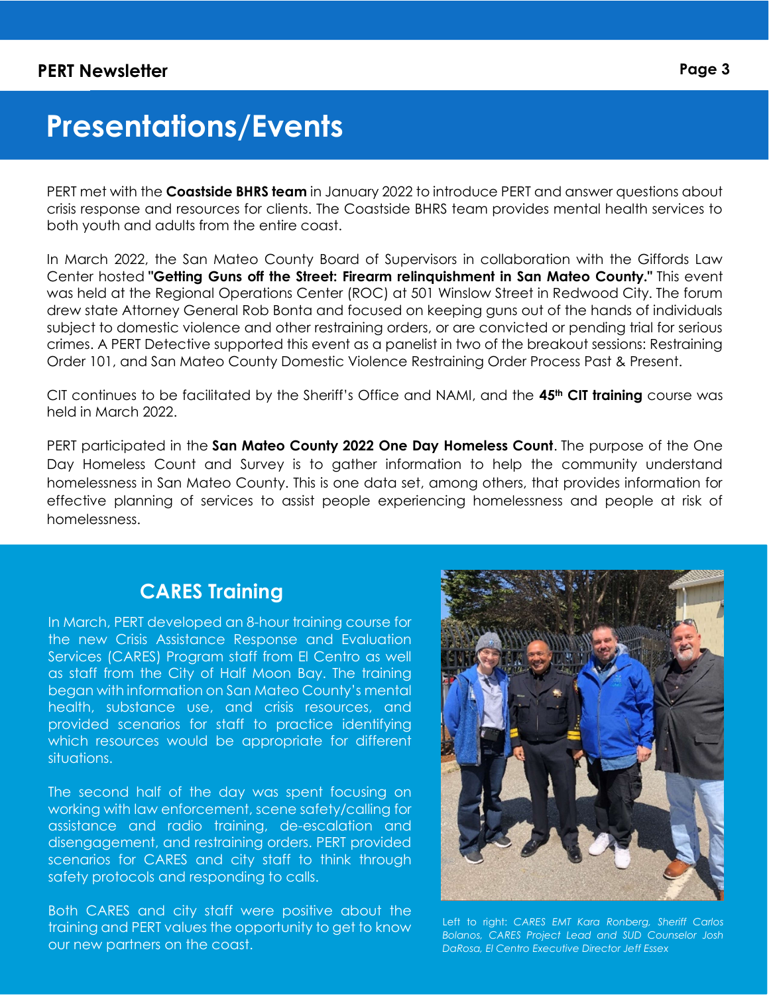## Presentations/Events

PERT met with the **Coastside BHRS team** in January 2022 to introduce PERT and answer questions about crisis response and resources for clients. The Coastside BHRS team provides mental health services to both youth and adults from the entire coast.

In March 2022, the San Mateo County Board of Supervisors in collaboration with the Giffords Law Center hosted "Getting Guns off the Street: Firearm relinquishment in San Mateo County." This event was held at the Regional Operations Center (ROC) at 501 Winslow Street in Redwood City. The forum drew state Attorney General Rob Bonta and focused on keeping guns out of the hands of individuals subject to domestic violence and other restraining orders, or are convicted or pending trial for serious crimes. A PERT Detective supported this event as a panelist in two of the breakout sessions: Restraining Order 101, and San Mateo County Domestic Violence Restraining Order Process Past & Present.

CIT continues to be facilitated by the Sheriff's Office and NAMI, and the  $45<sup>th</sup>$  CIT training course was held in March 2022.

PERT participated in the San Mateo County 2022 One Day Homeless Count. The purpose of the One Day Homeless Count and Survey is to gather information to help the community understand homelessness in San Mateo County. This is one data set, among others, that provides information for effective planning of services to assist people experiencing homelessness and people at risk of homelessness.

#### CARES Training

In March, PERT developed an 8-hour training course for the new Crisis Assistance Response and Evaluation Services (CARES) Program staff from El Centro as well as staff from the City of Half Moon Bay. The training began with information on San Mateo County's mental health, substance use, and crisis resources, and provided scenarios for staff to practice identifying which resources would be appropriate for different situations.

The second half of the day was spent focusing on working with law enforcement, scene safety/calling for assistance and radio training, de-escalation and disengagement, and restraining orders. PERT provided scenarios for CARES and city staff to think through safety protocols and responding to calls.

Both CARES and city staff were positive about the training and PERT values the opportunity to get to know our new partners on the coast.



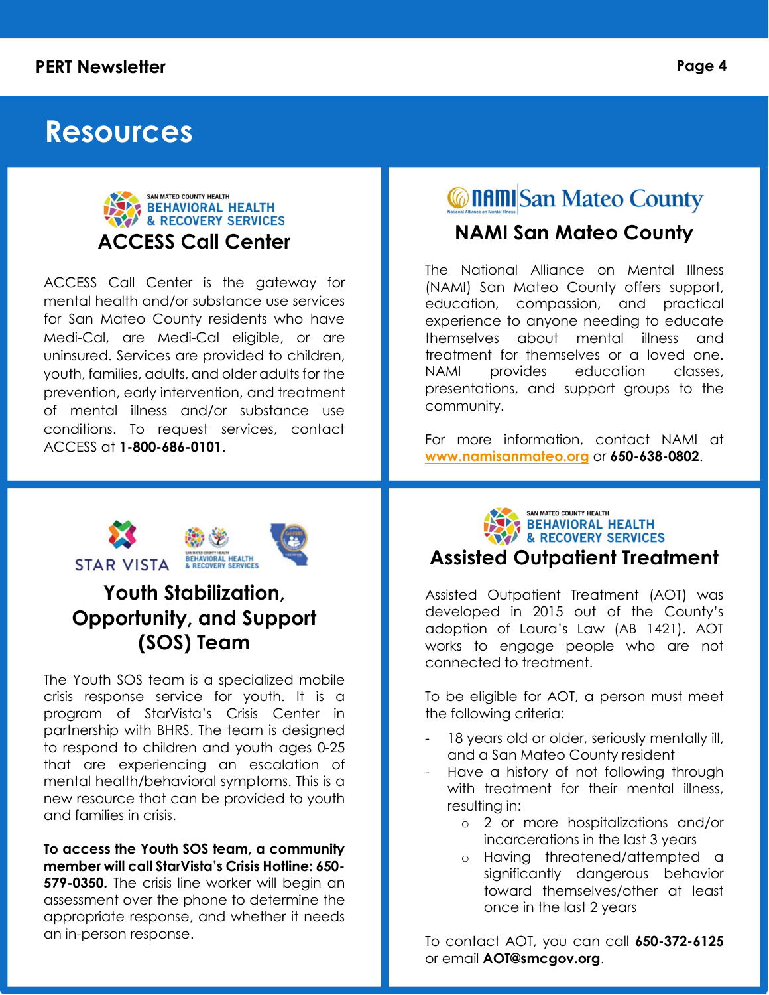#### PERT Newsletter Performance of the Page 4

### Resources



ACCESS Call Center is the gateway for mental health and/or substance use services for San Mateo County residents who have Medi-Cal, are Medi-Cal eligible, or are uninsured. Services are provided to children, youth, families, adults, and older adults for the prevention, early intervention, and treatment of mental illness and/or substance use conditions. To request services, contact ACCESS at 1-800-686-0101.

### **@naml**San Mateo County

#### NAMI San Mateo County

The National Alliance on Mental Illness (NAMI) San Mateo County offers support, education, compassion, and practical experience to anyone needing to educate themselves about mental illness and treatment for themselves or a loved one. NAMI provides education classes, presentations, and support groups to the community.

For more information, contact NAMI at www.namisanmateo.org or 650-638-0802.



### Youth Stabilization, Opportunity, and Support (SOS) Team

The Youth SOS team is a specialized mobile crisis response service for youth. It is a program of StarVista's Crisis Center in partnership with BHRS. The team is designed to respond to children and youth ages 0-25 that are experiencing an escalation of mental health/behavioral symptoms. This is a new resource that can be provided to youth and families in crisis.

To access the Youth SOS team, a community member will call StarVista's Crisis Hotline: 650- **579-0350.** The crisis line worker will begin an assessment over the phone to determine the appropriate response, and whether it needs an in-person response.

SAN MATEO COUNTY HEALTH **BEHAVIORAL HEALTH<br>& RECOVERY SERVICES** Assisted Outpatient Treatment

Assisted Outpatient Treatment (AOT) was developed in 2015 out of the County's adoption of Laura's Law (AB 1421). AOT works to engage people who are not connected to treatment.

To be eligible for AOT, a person must meet the following criteria:

- 18 years old or older, seriously mentally ill, and a San Mateo County resident
- Have a history of not following through with treatment for their mental illness, resulting in:
	- o 2 or more hospitalizations and/or incarcerations in the last 3 years
	- o Having threatened/attempted a significantly dangerous behavior toward themselves/other at least once in the last 2 years

To contact AOT, you can call 650-372-6125 or email AOT@smcgov.org.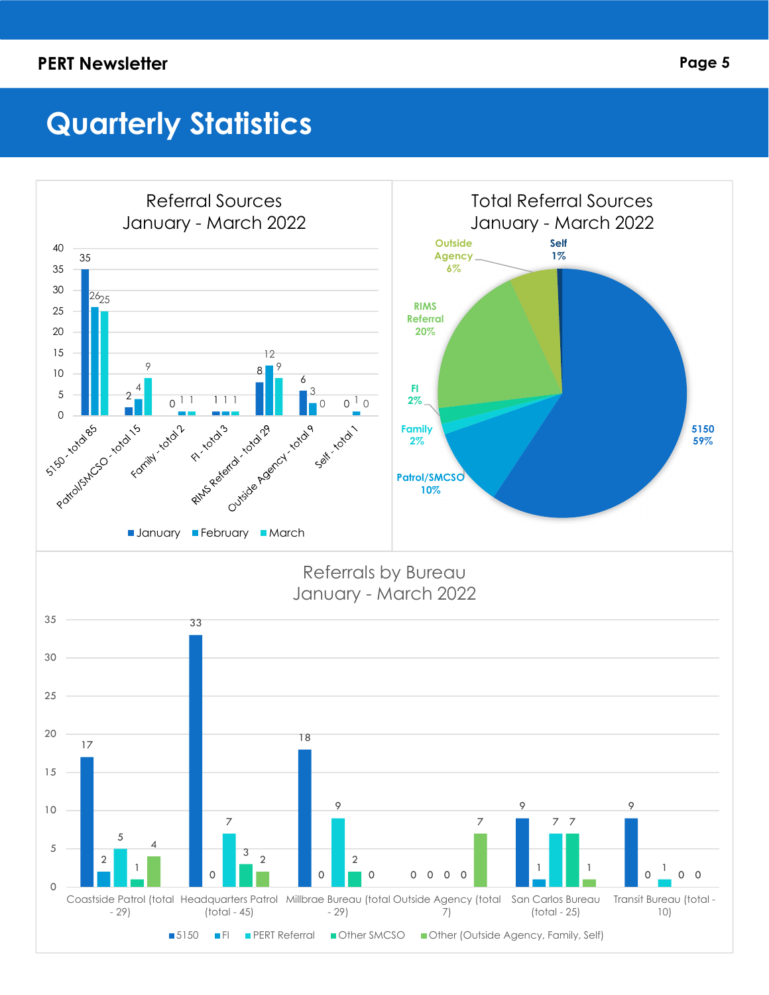#### PERT Newsletter **PERT Newsletter** Page 5

## Quarterly Statistics